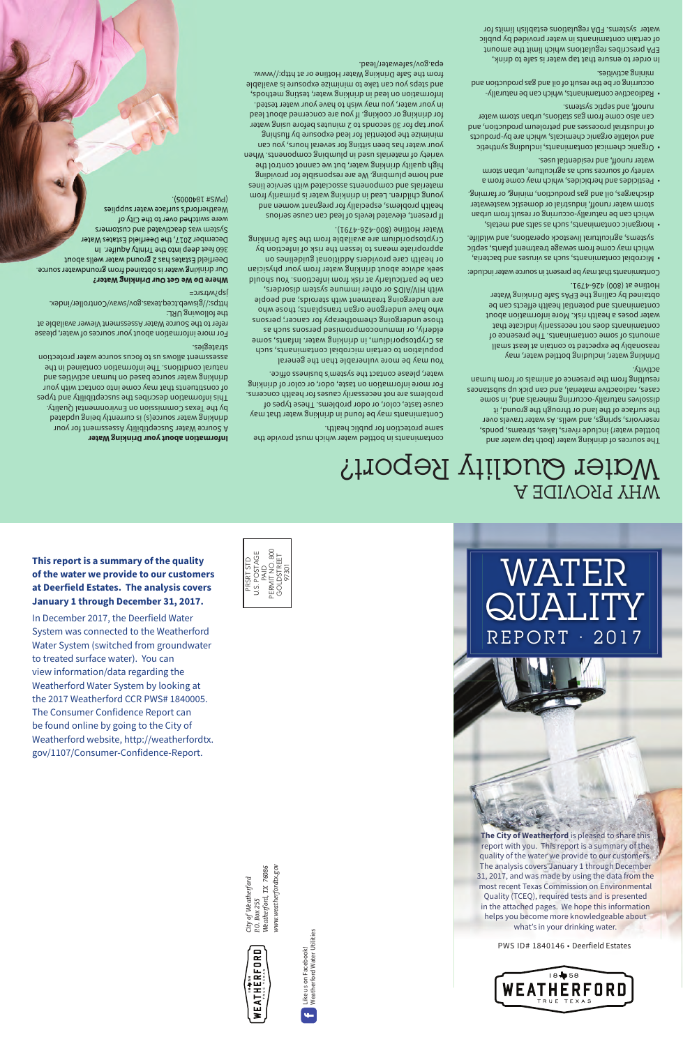**This report is a summary of the quality of the water we provide to our customers at Deerfield Estates. The analysis covers January 1 through December 31, 2017.**

In December 2017, the Deerfield Water System was connected to the Weatherford Water System (switched from groundwater to treated surface water). You can view information/data regarding the Weatherford Water System by looking at the 2017 Weatherford CCR PWS# 1840005. The Consumer Confidence Report can be found online by going to the City of Weatherford website, http://weatherfordtx. gov/1107/Consumer-Confidence-Report.



# WATER QUALITY REPORT · 2017

**The City of Weatherford** is pleased to share this report with you. This report is a summary of the quality of the water we provide to our customers. The analysis covers January 1 through December 31, 2017, and was made by using the data from the most recent Texas Commission on Environmental Quality (TCEQ), required tests and is presented in the attached pages. We hope this information helps you become more knowledgeable about what's in your drinking water.

PWS ID# 1840146 • Deerfield Estates



www.weatherfordtx.gov *www.weatherfordtx.gov* Weatherford, TX 76086 *Weatherford, TX 76086* City of Weatherford *City of Weatherford* P.O. Box 255 *P.O. Box 255*



Like us on Facebook! Weatherford Water Utilities

Like us on Facebook!<br>Weatherford Water Utilities

÷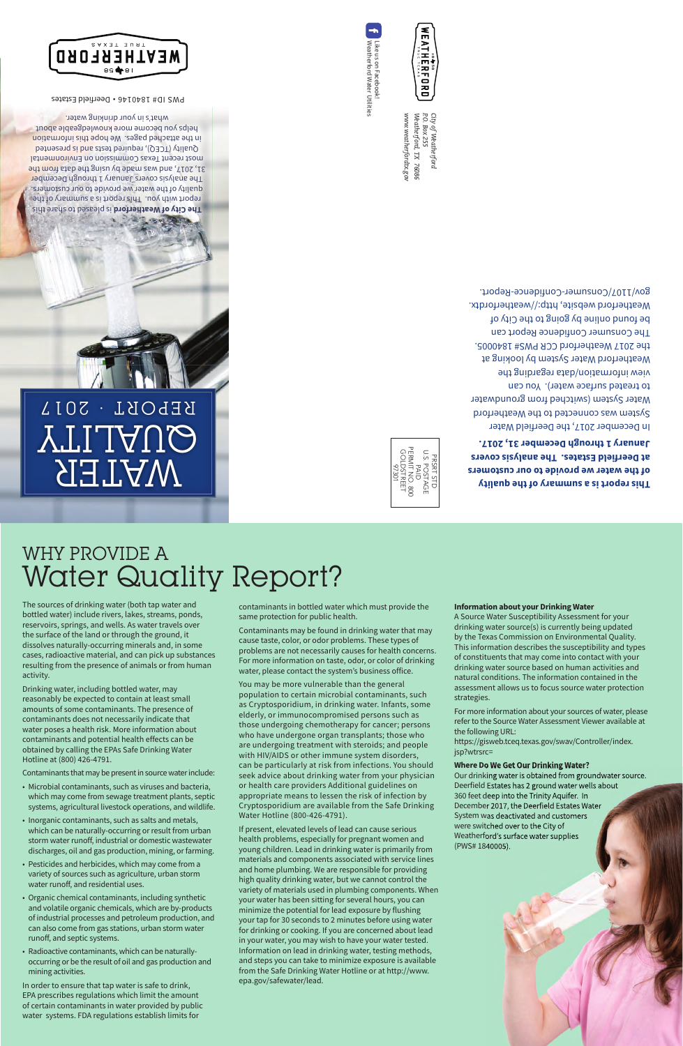## WHY PROVIDE A Water Quality Report?

The sources of drinking water (both tap water and bottled water) include rivers, lakes, streams, ponds, reservoirs, springs, and wells. As water travels over the surface of the land or through the ground, it dissolves naturally-occurring minerals and, in some cases, radioactive material, and can pick up substances resulting from the presence of animals or from human activity.

Drinking water, including bottled water, may reasonably be expected to contain at least small amounts of some contaminants. The presence of contaminants does not necessarily indicate that water poses a health risk. More information about contaminants and potential health effects can be obtained by calling the EPAs Safe Drinking Water Hotline at (800) 426-4791.

Contaminants that may be present in source water include:

- Microbial contaminants, such as viruses and bacteria, which may come from sewage treatment plants, septic systems, agricultural livestock operations, and wildlife.
- Inorganic contaminants, such as salts and metals, which can be naturally-occurring or result from urban storm water runoff, industrial or domestic wastewater discharges, oil and gas production, mining, or farming.
- Pesticides and herbicides, which may come from a variety of sources such as agriculture, urban storm water runoff, and residential uses.
- Organic chemical contaminants, including synthetic and volatile organic chemicals, which are by-products of industrial processes and petroleum production, and can also come from gas stations, urban storm water runoff, and septic systems.
- Radioactive contaminants, which can be naturallyoccurring or be the result of oil and gas production and mining activities.

In order to ensure that tap water is safe to drink, EPA prescribes regulations which limit the amount of certain contaminants in water provided by public water systems. FDA regulations establish limits for

contaminants in bottled water which must provide the same protection for public health.

Contaminants may be found in drinking water that may cause taste, color, or odor problems. These types of problems are not necessarily causes for health concerns. For more information on taste, odor, or color of drinking water, please contact the system's business office.

You may be more vulnerable than the general population to certain microbial contaminants, such as Cryptosporidium, in drinking water. Infants, some elderly, or immunocompromised persons such as those undergoing chemotherapy for cancer; persons who have undergone organ transplants; those who are undergoing treatment with steroids; and people with HIV/AIDS or other immune system disorders, can be particularly at risk from infections. You should seek advice about drinking water from your physician or health care providers Additional guidelines on appropriate means to lessen the risk of infection by Cryptosporidium are available from the Safe Drinking Water Hotline (800-426-4791).

If present, elevated levels of lead can cause serious health problems, especially for pregnant women and young children. Lead in drinking water is primarily from materials and components associated with service lines and home plumbing. We are responsible for providing high quality drinking water, but we cannot control the variety of materials used in plumbing components. When your water has been sitting for several hours, you can minimize the potential for lead exposure by flushing your tap for 30 seconds to 2 minutes before using water for drinking or cooking. If you are concerned about lead in your water, you may wish to have your water tested. Information on lead in drinking water, testing methods, and steps you can take to minimize exposure is available from the Safe Drinking Water Hotline or at http://www. epa.gov/safewater/lead.

### **Information about your Drinking Water**

A Source Water Susceptibility Assessment for your drinking water source(s) is currently being updated by the Texas Commission on Environmental Quality. This information describes the susceptibility and types of constituents that may come into contact with your drinking water source based on human activities and natural conditions. The information contained in the assessment allows us to focus source water protection strategies.

For more information about your sources of water, please refer to the Source Water Assessment Viewer available at the following URL:

https://gisweb.tceq.texas.gov/swav/Controller/index. jsp?wtrsrc=

### **Where Do We Get Our Drinking Water?**

Our drinking water is obtained from groundwater source. Deerfield Estates has 2 ground water wells about 360 feet deep into the Trinity Aquifer. In December 2017, the Deerfield Estates Water System was deactivated and customers were switched over to the City of Weatherford's surface water supplies (PWS# 1840005).